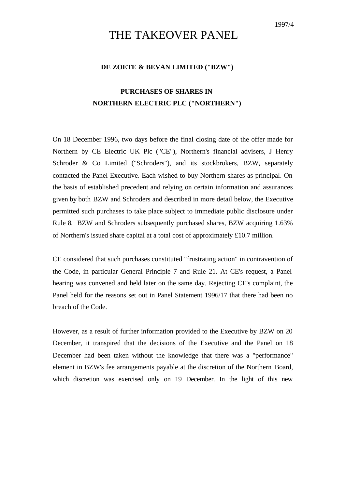# THE TAKEOVER PANEL

### **DE ZOETE & BEVAN LIMITED ("BZW")**

## **PURCHASES OF SHARES IN NORTHERN ELECTRIC PLC ("NORTHERN")**

On 18 December 1996, two days before the final closing date of the offer made for Northern by CE Electric UK Plc ("CE"), Northern's financial advisers, J Henry Schroder & Co Limited ("Schroders"), and its stockbrokers, BZW, separately contacted the Panel Executive. Each wished to buy Northern shares as principal. On the basis of established precedent and relying on certain information and assurances given by both BZW and Schroders and described in more detail below, the Executive permitted such purchases to take place subject to immediate public disclosure under Rule 8. BZW and Schroders subsequently purchased shares, BZW acquiring 1.63% of Northern's issued share capital at a total cost of approximately £10.7 million.

CE considered that such purchases constituted "frustrating action" in contravention of the Code, in particular General Principle 7 and Rule 21. At CE's request, a Panel hearing was convened and held later on the same day. Rejecting CE's complaint, the Panel held for the reasons set out in Panel Statement 1996/17 that there had been no breach of the Code.

However, as a result of further information provided to the Executive by BZW on 20 December, it transpired that the decisions of the Executive and the Panel on 18 December had been taken without the knowledge that there was a "performance" element in BZW's fee arrangements payable at the discretion of the Northern Board, which discretion was exercised only on 19 December. In the light of this new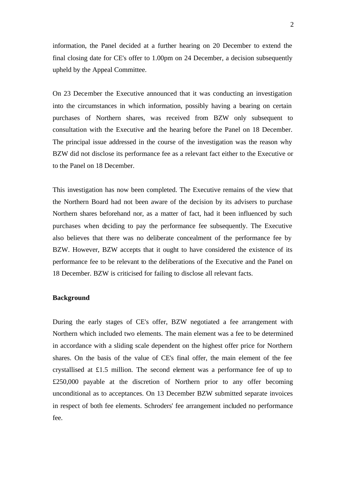information, the Panel decided at a further hearing on 20 December to extend the final closing date for CE's offer to 1.00pm on 24 December, a decision subsequently upheld by the Appeal Committee.

On 23 December the Executive announced that it was conducting an investigation into the circumstances in which information, possibly having a bearing on certain purchases of Northern shares, was received from BZW only subsequent to consultation with the Executive and the hearing before the Panel on 18 December. The principal issue addressed in the course of the investigation was the reason why BZW did not disclose its performance fee as a relevant fact either to the Executive or to the Panel on 18 December.

This investigation has now been completed. The Executive remains of the view that the Northern Board had not been aware of the decision by its advisers to purchase Northern shares beforehand nor, as a matter of fact, had it been influenced by such purchases when deciding to pay the performance fee subsequently. The Executive also believes that there was no deliberate concealment of the performance fee by BZW. However, BZW accepts that it ought to have considered the existence of its performance fee to be relevant to the deliberations of the Executive and the Panel on 18 December. BZW is criticised for failing to disclose all relevant facts.

### **Background**

During the early stages of CE's offer, BZW negotiated a fee arrangement with Northern which included two elements. The main element was a fee to be determined in accordance with a sliding scale dependent on the highest offer price for Northern shares. On the basis of the value of CE's final offer, the main element of the fee crystallised at £1.5 million. The second element was a performance fee of up to £250,000 payable at the discretion of Northern prior to any offer becoming unconditional as to acceptances. On 13 December BZW submitted separate invoices in respect of both fee elements. Schroders' fee arrangement included no performance fee.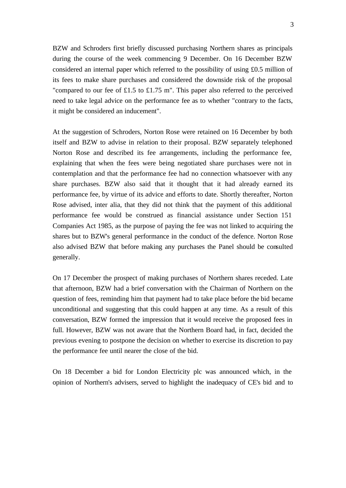BZW and Schroders first briefly discussed purchasing Northern shares as principals during the course of the week commencing 9 December. On 16 December BZW considered an internal paper which referred to the possibility of using £0.5 million of its fees to make share purchases and considered the downside risk of the proposal "compared to our fee of £1.5 to £1.75 m". This paper also referred to the perceived need to take legal advice on the performance fee as to whether "contrary to the facts, it might be considered an inducement".

At the suggestion of Schroders, Norton Rose were retained on 16 December by both itself and BZW to advise in relation to their proposal. BZW separately telephoned Norton Rose and described its fee arrangements, including the performance fee, explaining that when the fees were being negotiated share purchases were not in contemplation and that the performance fee had no connection whatsoever with any share purchases. BZW also said that it thought that it had already earned its performance fee, by virtue of its advice and efforts to date. Shortly thereafter, Norton Rose advised, inter alia, that they did not think that the payment of this additional performance fee would be construed as financial assistance under Section 151 Companies Act 1985, as the purpose of paying the fee was not linked to acquiring the shares but to BZW's general performance in the conduct of the defence. Norton Rose also advised BZW that before making any purchases the Panel should be consulted generally.

On 17 December the prospect of making purchases of Northern shares receded. Late that afternoon, BZW had a brief conversation with the Chairman of Northern on the question of fees, reminding him that payment had to take place before the bid became unconditional and suggesting that this could happen at any time. As a result of this conversation, BZW formed the impression that it would receive the proposed fees in full. However, BZW was not aware that the Northern Board had, in fact, decided the previous evening to postpone the decision on whether to exercise its discretion to pay the performance fee until nearer the close of the bid.

On 18 December a bid for London Electricity plc was announced which, in the opinion of Northern's advisers, served to highlight the inadequacy of CE's bid and to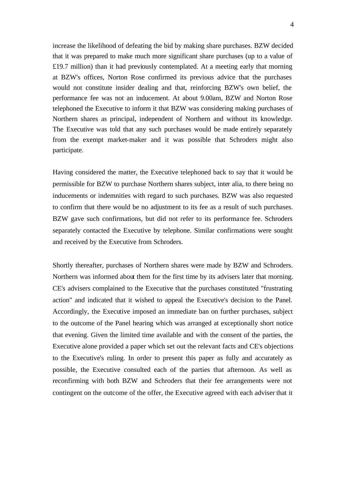increase the likelihood of defeating the bid by making share purchases. BZW decided that it was prepared to make much more significant share purchases (up to a value of  $£19.7$  million) than it had previously contemplated. At a meeting early that morning at BZW's offices, Norton Rose confirmed its previous advice that the purchases would not constitute insider dealing and that, reinforcing BZW's own belief, the performance fee was not an inducement. At about 9.00am, BZW and Norton Rose telephoned the Executive to inform it that BZW was considering making purchases of Northern shares as principal, independent of Northern and without its knowledge. The Executive was told that any such purchases would be made entirely separately from the exempt market-maker and it was possible that Schroders might also participate.

Having considered the matter, the Executive telephoned back to say that it would be permissible for BZW to purchase Northern shares subject, inter alia, to there being no inducements or indemnities with regard to such purchases. BZW was also requested to confirm that there would be no adjustment to its fee as a result of such purchases. BZW gave such confirmations, but did not refer to its performance fee. Schroders separately contacted the Executive by telephone. Similar confirmations were sought and received by the Executive from Schroders.

Shortly thereafter, purchases of Northern shares were made by BZW and Schroders. Northern was informed about them for the first time by its advisers later that morning. CE's advisers complained to the Executive that the purchases constituted "frustrating action" and indicated that it wished to appeal the Executive's decision to the Panel. Accordingly, the Executive imposed an immediate ban on further purchases, subject to the outcome of the Panel hearing which was arranged at exceptionally short notice that evening. Given the limited time available and with the consent of the parties, the Executive alone provided a paper which set out the relevant facts and CE's objections to the Executive's ruling. In order to present this paper as fully and accurately as possible, the Executive consulted each of the parties that afternoon. As well as reconfirming with both BZW and Schroders that their fee arrangements were not contingent on the outcome of the offer, the Executive agreed with each adviser that it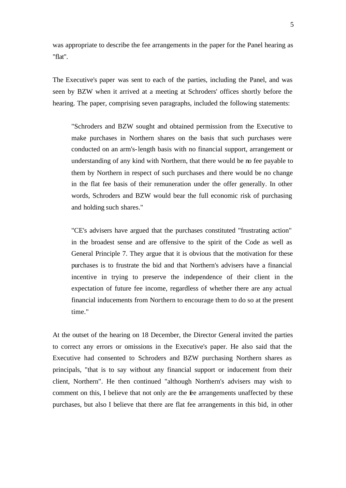was appropriate to describe the fee arrangements in the paper for the Panel hearing as "flat".

The Executive's paper was sent to each of the parties, including the Panel, and was seen by BZW when it arrived at a meeting at Schroders' offices shortly before the hearing. The paper, comprising seven paragraphs, included the following statements:

"Schroders and BZW sought and obtained permission from the Executive to make purchases in Northern shares on the basis that such purchases were conducted on an arm's-length basis with no financial support, arrangement or understanding of any kind with Northern, that there would be no fee payable to them by Northern in respect of such purchases and there would be no change in the flat fee basis of their remuneration under the offer generally. In other words, Schroders and BZW would bear the full economic risk of purchasing and holding such shares."

"CE's advisers have argued that the purchases constituted "frustrating action" in the broadest sense and are offensive to the spirit of the Code as well as General Principle 7. They argue that it is obvious that the motivation for these purchases is to frustrate the bid and that Northern's advisers have a financial incentive in trying to preserve the independence of their client in the expectation of future fee income, regardless of whether there are any actual financial inducements from Northern to encourage them to do so at the present time."

At the outset of the hearing on 18 December, the Director General invited the parties to correct any errors or omissions in the Executive's paper. He also said that the Executive had consented to Schroders and BZW purchasing Northern shares as principals, "that is to say without any financial support or inducement from their client, Northern". He then continued "although Northern's advisers may wish to comment on this, I believe that not only are the fee arrangements unaffected by these purchases, but also I believe that there are flat fee arrangements in this bid, in other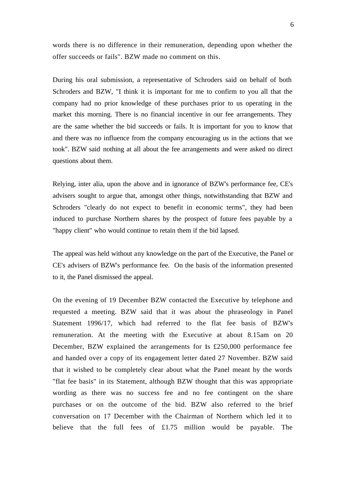words there is no difference in their remuneration, depending upon whether the offer succeeds or fails". BZW made no comment on this.

During his oral submission, a representative of Schroders said on behalf of both Schroders and BZW, "I think it is important for me to confirm to you all that the company had no prior knowledge of these purchases prior to us operating in the market this morning. There is no financial incentive in our fee arrangements. They are the same whether the bid succeeds or fails. It is important for you to know that and there was no influence from the company encouraging us in the actions that we took". BZW said nothing at all about the fee arrangements and were asked no direct questions about them.

Relying, inter alia, upon the above and in ignorance of BZW's performance fee, CE's advisers sought to argue that, amongst other things, notwithstanding that BZW and Schroders "clearly do not expect to benefit in economic terms", they had been induced to purchase Northern shares by the prospect of future fees payable by a "happy client" who would continue to retain them if the bid lapsed.

The appeal was held without any knowledge on the part of the Executive, the Panel or CE's advisers of BZW's performance fee. On the basis of the information presented to it, the Panel dismissed the appeal.

On the evening of 19 December BZW contacted the Executive by telephone and requested a meeting. BZW said that it was about the phraseology in Panel Statement 1996/17, which had referred to the flat fee basis of BZW's remuneration. At the meeting with the Executive at about 8.15am on 20 December, BZW explained the arrangements for its  $£250,000$  performance fee and handed over a copy of its engagement letter dated 27 November. BZW said that it wished to be completely clear about what the Panel meant by the words "flat fee basis" in its Statement, although BZW thought that this was appropriate wording as there was no success fee and no fee contingent on the share purchases or on the outcome of the bid. BZW also referred to the brief conversation on 17 December with the Chairman of Northern which led it to believe that the full fees of £1.75 million would be payable. The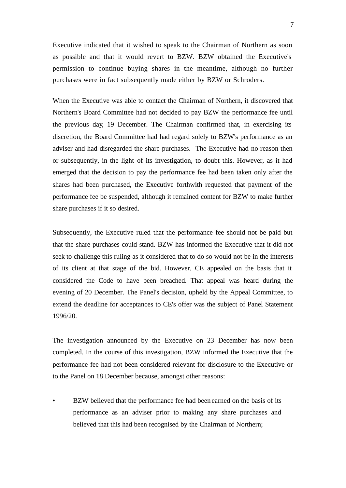Executive indicated that it wished to speak to the Chairman of Northern as soon as possible and that it would revert to BZW. BZW obtained the Executive's permission to continue buying shares in the meantime, although no further purchases were in fact subsequently made either by BZW or Schroders.

When the Executive was able to contact the Chairman of Northern, it discovered that Northern's Board Committee had not decided to pay BZW the performance fee until the previous day, 19 December. The Chairman confirmed that, in exercising its discretion, the Board Committee had had regard solely to BZW's performance as an adviser and had disregarded the share purchases. The Executive had no reason then or subsequently, in the light of its investigation, to doubt this. However, as it had emerged that the decision to pay the performance fee had been taken only after the shares had been purchased, the Executive forthwith requested that payment of the performance fee be suspended, although it remained content for BZW to make further share purchases if it so desired.

Subsequently, the Executive ruled that the performance fee should not be paid but that the share purchases could stand. BZW has informed the Executive that it did not seek to challenge this ruling as it considered that to do so would not be in the interests of its client at that stage of the bid. However, CE appealed on the basis that it considered the Code to have been breached. That appeal was heard during the evening of 20 December. The Panel's decision, upheld by the Appeal Committee, to extend the deadline for acceptances to CE's offer was the subject of Panel Statement 1996/20.

The investigation announced by the Executive on 23 December has now been completed. In the course of this investigation, BZW informed the Executive that the performance fee had not been considered relevant for disclosure to the Executive or to the Panel on 18 December because, amongst other reasons:

BZW believed that the performance fee had been earned on the basis of its performance as an adviser prior to making any share purchases and believed that this had been recognised by the Chairman of Northern;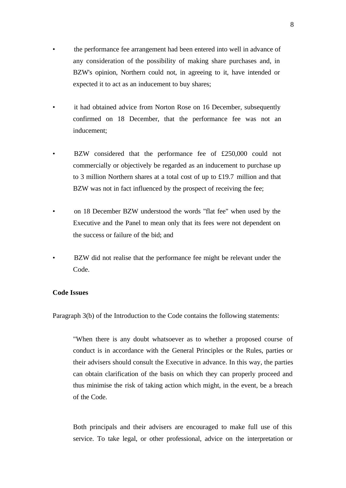- the performance fee arrangement had been entered into well in advance of any consideration of the possibility of making share purchases and, in BZW's opinion, Northern could not, in agreeing to it, have intended or expected it to act as an inducement to buy shares;
- it had obtained advice from Norton Rose on 16 December, subsequently confirmed on 18 December, that the performance fee was not an inducement;
- BZW considered that the performance fee of £250,000 could not commercially or objectively be regarded as an inducement to purchase up to 3 million Northern shares at a total cost of up to £19.7 million and that BZW was not in fact influenced by the prospect of receiving the fee;
- on 18 December BZW understood the words "flat fee" when used by the Executive and the Panel to mean only that its fees were not dependent on the success or failure of the bid; and
- BZW did not realise that the performance fee might be relevant under the Code.

### **Code Issues**

Paragraph 3(b) of the Introduction to the Code contains the following statements:

"When there is any doubt whatsoever as to whether a proposed course of conduct is in accordance with the General Principles or the Rules, parties or their advisers should consult the Executive in advance. In this way, the parties can obtain clarification of the basis on which they can properly proceed and thus minimise the risk of taking action which might, in the event, be a breach of the Code.

Both principals and their advisers are encouraged to make full use of this service. To take legal, or other professional, advice on the interpretation or